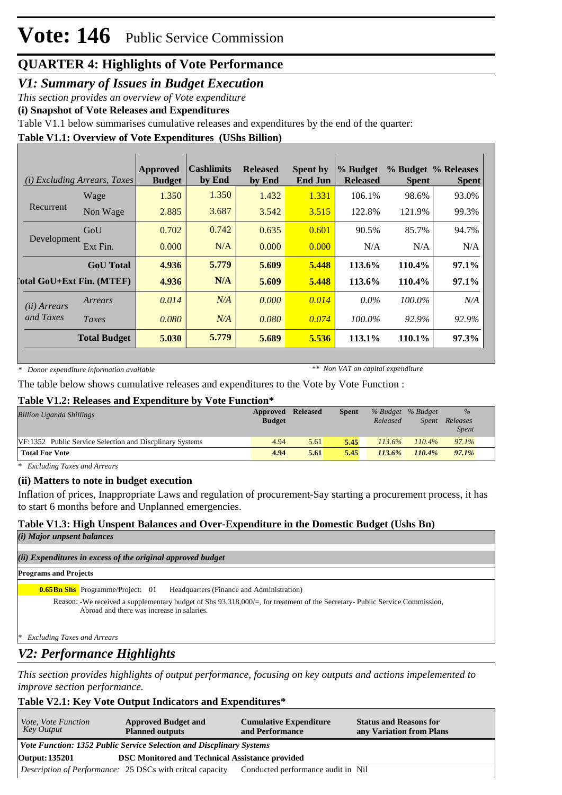### *V1: Summary of Issues in Budget Execution*

*This section provides an overview of Vote expenditure*

**(i) Snapshot of Vote Releases and Expenditures**

Table V1.1 below summarises cumulative releases and expenditures by the end of the quarter:

### **Table V1.1: Overview of Vote Expenditures (UShs Billion)**

| (i)                                | <i>Excluding Arrears, Taxes</i> | Approved<br><b>Budget</b> | <b>Cashlimits</b><br>by End | <b>Released</b><br>by End | <b>Spent by</b><br><b>End Jun</b> | % Budget<br><b>Released</b> | <b>Spent</b> | % Budget % Releases<br><b>Spent</b> |
|------------------------------------|---------------------------------|---------------------------|-----------------------------|---------------------------|-----------------------------------|-----------------------------|--------------|-------------------------------------|
|                                    | Wage                            | 1.350                     | 1.350                       | 1.432                     | 1.331                             | 106.1%                      | 98.6%        | 93.0%                               |
| Recurrent                          | Non Wage                        | 2.885                     | 3.687                       | 3.542                     | 3.515                             | 122.8%                      | 121.9%       | 99.3%                               |
| Development                        | GoU                             | 0.702                     | 0.742                       | 0.635                     | 0.601                             | 90.5%                       | 85.7%        | 94.7%                               |
|                                    | Ext Fin.                        | 0.000                     | N/A                         | 0.000                     | 0.000                             | N/A                         | N/A          | N/A                                 |
|                                    | <b>GoU</b> Total                | 4.936                     | 5.779                       | 5.609                     | 5.448                             | 113.6%                      | 110.4%       | $97.1\%$                            |
| <b>Total GoU+Ext Fin. (MTEF)</b>   |                                 | 4.936                     | N/A                         | 5.609                     | 5.448                             | 113.6%                      | 110.4%       | 97.1%                               |
| ( <i>ii</i> ) Arrears<br>and Taxes | Arrears                         | 0.014                     | N/A                         | 0.000                     | 0.014                             | $0.0\%$                     | $100.0\%$    | N/A                                 |
|                                    | Taxes                           | 0.080                     | N/A                         | 0.080                     | 0.074                             | 100.0%                      | 92.9%        | 92.9%                               |
|                                    | <b>Total Budget</b>             | 5.030                     | 5.779                       | 5.689                     | 5.536                             | 113.1%                      | 110.1%       | 97.3%                               |

*\* Donor expenditure information available*

*\*\* Non VAT on capital expenditure*

The table below shows cumulative releases and expenditures to the Vote by Vote Function :

### **Table V1.2: Releases and Expenditure by Vote Function\***

| <b>Billion Uganda Shillings</b>                          | <b>Approved Released</b> |      | <b>Spent</b> |           | % Budget % Budget | $\frac{9}{6}$            |
|----------------------------------------------------------|--------------------------|------|--------------|-----------|-------------------|--------------------------|
|                                                          | <b>Budget</b>            |      |              | Released  | <b>Spent</b>      | Releases<br><i>Spent</i> |
| VF:1352 Public Service Selection and Discplinary Systems | 4.94                     | 5.61 | 5.45         | $113.6\%$ | $110.4\%$         | 97.1%                    |
| <b>Total For Vote</b>                                    | 4.94                     | 5.61 | 5.45         | 113.6%    | 110.4%            | 97.1%                    |

*\* Excluding Taxes and Arrears*

### **(ii) Matters to note in budget execution**

Inflation of prices, Inappropriate Laws and regulation of procurement-Say starting a procurement process, it has to start 6 months before and Unplanned emergencies.

### **Table V1.3: High Unspent Balances and Over-Expenditure in the Domestic Budget (Ushs Bn)**

*(i) Major unpsent balances*

### *(ii) Expenditures in excess of the original approved budget*

#### **Programs and Projects**

**Headquarters (Finance and Administration) 0.65Bn Shs** Programme/Project: 01

Reason: -We received a supplementary budget of Shs 93,318,000/=, for treatment of the Secretary- Public Service Commission, Abroad and there was increase in salaries.

*\* Excluding Taxes and Arrears*

## *V2: Performance Highlights*

*This section provides highlights of output performance, focusing on key outputs and actions impelemented to improve section performance.*

### **Table V2.1: Key Vote Output Indicators and Expenditures\***

| <i>Vote, Vote Function</i><br>Key Output                                        | <b>Approved Budget and</b><br><b>Planned outputs</b>      | <b>Cumulative Expenditure</b><br>and Performance | <b>Status and Reasons for</b><br>any Variation from Plans |  |  |  |
|---------------------------------------------------------------------------------|-----------------------------------------------------------|--------------------------------------------------|-----------------------------------------------------------|--|--|--|
| Vote Function: 1352 Public Service Selection and Discplinary Systems            |                                                           |                                                  |                                                           |  |  |  |
| <b>DSC Monitored and Technical Assistance provided</b><br><b>Output: 135201</b> |                                                           |                                                  |                                                           |  |  |  |
|                                                                                 | Description of Performance: 25 DSCs with criteal capacity | Conducted performance audit in Nil               |                                                           |  |  |  |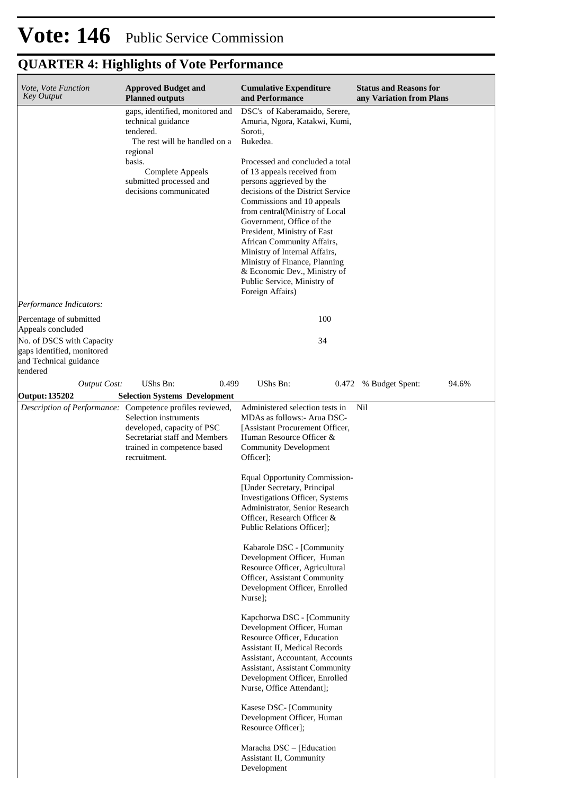| Vote, Vote Function<br><b>Key Output</b>                                                                                                      | <b>Approved Budget and</b><br><b>Planned outputs</b>                                                                                                                                               | <b>Cumulative Expenditure</b><br>and Performance                                                                                                                                                                                                                                                                                                                                                                                                                                                                                                                                                                                                                                                                                                                                                                                                                                                                                                                                | <b>Status and Reasons for</b><br>any Variation from Plans |
|-----------------------------------------------------------------------------------------------------------------------------------------------|----------------------------------------------------------------------------------------------------------------------------------------------------------------------------------------------------|---------------------------------------------------------------------------------------------------------------------------------------------------------------------------------------------------------------------------------------------------------------------------------------------------------------------------------------------------------------------------------------------------------------------------------------------------------------------------------------------------------------------------------------------------------------------------------------------------------------------------------------------------------------------------------------------------------------------------------------------------------------------------------------------------------------------------------------------------------------------------------------------------------------------------------------------------------------------------------|-----------------------------------------------------------|
|                                                                                                                                               | gaps, identified, monitored and<br>technical guidance<br>tendered.<br>The rest will be handled on a<br>regional<br>basis.<br>Complete Appeals<br>submitted processed and<br>decisions communicated | DSC's of Kaberamaido, Serere,<br>Amuria, Ngora, Katakwi, Kumi,<br>Soroti,<br>Bukedea.<br>Processed and concluded a total<br>of 13 appeals received from<br>persons aggrieved by the<br>decisions of the District Service<br>Commissions and 10 appeals<br>from central(Ministry of Local<br>Government, Office of the<br>President, Ministry of East<br>African Community Affairs,<br>Ministry of Internal Affairs,<br>Ministry of Finance, Planning<br>& Economic Dev., Ministry of<br>Public Service, Ministry of<br>Foreign Affairs)                                                                                                                                                                                                                                                                                                                                                                                                                                         |                                                           |
| Performance Indicators:                                                                                                                       |                                                                                                                                                                                                    |                                                                                                                                                                                                                                                                                                                                                                                                                                                                                                                                                                                                                                                                                                                                                                                                                                                                                                                                                                                 |                                                           |
| Percentage of submitted<br>Appeals concluded<br>No. of DSCS with Capacity<br>gaps identified, monitored<br>and Technical guidance<br>tendered |                                                                                                                                                                                                    | 100<br>34                                                                                                                                                                                                                                                                                                                                                                                                                                                                                                                                                                                                                                                                                                                                                                                                                                                                                                                                                                       |                                                           |
| <b>Output Cost:</b>                                                                                                                           | UShs Bn:<br>0.499                                                                                                                                                                                  | UShs Bn:                                                                                                                                                                                                                                                                                                                                                                                                                                                                                                                                                                                                                                                                                                                                                                                                                                                                                                                                                                        | 0.472 % Budget Spent:<br>94.6%                            |
| Output: 135202                                                                                                                                | <b>Selection Systems Development</b>                                                                                                                                                               |                                                                                                                                                                                                                                                                                                                                                                                                                                                                                                                                                                                                                                                                                                                                                                                                                                                                                                                                                                                 |                                                           |
|                                                                                                                                               | Description of Performance: Competence profiles reviewed,<br>Selection instruments<br>developed, capacity of PSC<br>Secretariat staff and Members<br>trained in competence based<br>recruitment.   | Administered selection tests in<br>MDAs as follows:- Arua DSC-<br>[Assistant Procurement Officer,<br>Human Resource Officer &<br><b>Community Development</b><br>Officer];<br><b>Equal Opportunity Commission-</b><br>[Under Secretary, Principal<br>Investigations Officer, Systems<br>Administrator, Senior Research<br>Officer, Research Officer &<br>Public Relations Officer];<br>Kabarole DSC - [Community<br>Development Officer, Human<br>Resource Officer, Agricultural<br>Officer, Assistant Community<br>Development Officer, Enrolled<br>Nurse];<br>Kapchorwa DSC - [Community<br>Development Officer, Human<br>Resource Officer, Education<br>Assistant II, Medical Records<br>Assistant, Accountant, Accounts<br>Assistant, Assistant Community<br>Development Officer, Enrolled<br>Nurse, Office Attendant];<br>Kasese DSC- [Community<br>Development Officer, Human<br>Resource Officer];<br>Maracha DSC - [Education<br>Assistant II, Community<br>Development | Nil                                                       |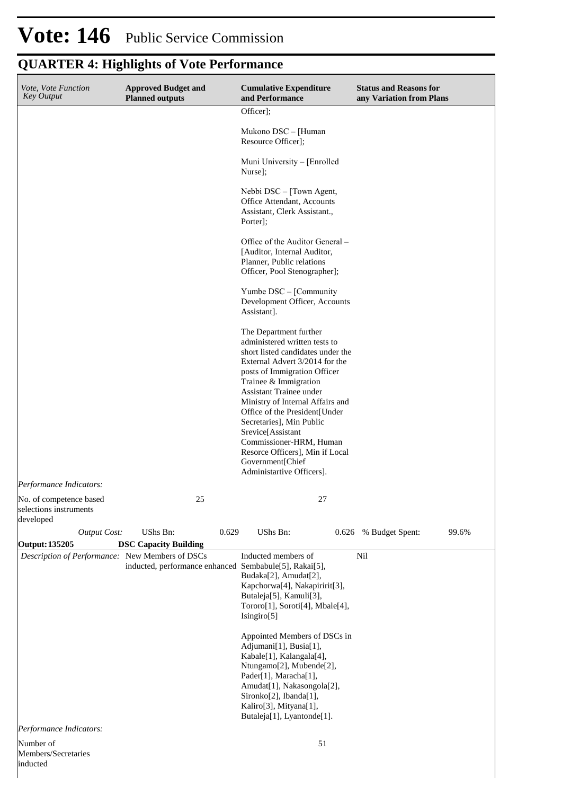| Vote, Vote Function<br><b>Key Output</b>                       | <b>Approved Budget and</b><br><b>Planned outputs</b>   | <b>Cumulative Expenditure</b><br>and Performance                                                                                                                                                                                                                                                                                                                                                                                                        | <b>Status and Reasons for</b><br>any Variation from Plans |  |  |
|----------------------------------------------------------------|--------------------------------------------------------|---------------------------------------------------------------------------------------------------------------------------------------------------------------------------------------------------------------------------------------------------------------------------------------------------------------------------------------------------------------------------------------------------------------------------------------------------------|-----------------------------------------------------------|--|--|
|                                                                |                                                        | Officer];                                                                                                                                                                                                                                                                                                                                                                                                                                               |                                                           |  |  |
|                                                                |                                                        | Mukono DSC - [Human<br>Resource Officer];                                                                                                                                                                                                                                                                                                                                                                                                               |                                                           |  |  |
|                                                                |                                                        | Muni University – [Enrolled<br>Nurse];                                                                                                                                                                                                                                                                                                                                                                                                                  |                                                           |  |  |
|                                                                |                                                        | Nebbi DSC – [Town Agent,<br>Office Attendant, Accounts<br>Assistant, Clerk Assistant.,<br>Porter];                                                                                                                                                                                                                                                                                                                                                      |                                                           |  |  |
|                                                                |                                                        |                                                                                                                                                                                                                                                                                                                                                                                                                                                         |                                                           |  |  |
|                                                                |                                                        | Yumbe DSC – [Community<br>Development Officer, Accounts<br>Assistant].                                                                                                                                                                                                                                                                                                                                                                                  |                                                           |  |  |
|                                                                |                                                        | The Department further<br>administered written tests to<br>short listed candidates under the<br>External Advert 3/2014 for the<br>posts of Immigration Officer<br>Trainee & Immigration<br>Assistant Trainee under<br>Ministry of Internal Affairs and<br>Office of the President[Under<br>Secretaries], Min Public<br>Srevice[Assistant<br>Commissioner-HRM, Human<br>Resorce Officers], Min if Local<br>Government[Chief<br>Administartive Officers]. |                                                           |  |  |
| Performance Indicators:                                        |                                                        |                                                                                                                                                                                                                                                                                                                                                                                                                                                         |                                                           |  |  |
| No. of competence based<br>selections instruments<br>developed | 25                                                     | 27                                                                                                                                                                                                                                                                                                                                                                                                                                                      |                                                           |  |  |
| <b>Output Cost:</b>                                            | UShs Bn:<br>0.629                                      | UShs Bn:                                                                                                                                                                                                                                                                                                                                                                                                                                                | 0.626 % Budget Spent:<br>99.6%                            |  |  |
| Output: 135205                                                 | <b>DSC Capacity Building</b>                           |                                                                                                                                                                                                                                                                                                                                                                                                                                                         |                                                           |  |  |
| Description of Performance: New Members of DSCs                | inducted, performance enhanced Sembabule[5], Rakai[5], | Inducted members of<br>Budaka[2], Amudat[2],<br>Kapchorwa[4], Nakapiririt[3],<br>Butaleja[5], Kamuli[3],<br>Tororo[1], Soroti[4], Mbale[4],<br>Isingiro[5]<br>Appointed Members of DSCs in<br>Adjumani[1], Busia[1],<br>Kabale[1], Kalangala[4],<br>Ntungamo[2], Mubende[2],<br>Pader[1], Maracha[1],<br>Amudat[1], Nakasongola[2],                                                                                                                     | Nil                                                       |  |  |
|                                                                |                                                        | Sironko[2], Ibanda[1],<br>Kaliro[3], Mityana[1],<br>Butaleja[1], Lyantonde[1].                                                                                                                                                                                                                                                                                                                                                                          |                                                           |  |  |
| Performance Indicators:                                        |                                                        |                                                                                                                                                                                                                                                                                                                                                                                                                                                         |                                                           |  |  |
| Number of<br>Members/Secretaries<br>inducted                   |                                                        | 51                                                                                                                                                                                                                                                                                                                                                                                                                                                      |                                                           |  |  |

# Vote: 146 Public Service Commission

# **QUARTER 4: Highlights of Vote Performance**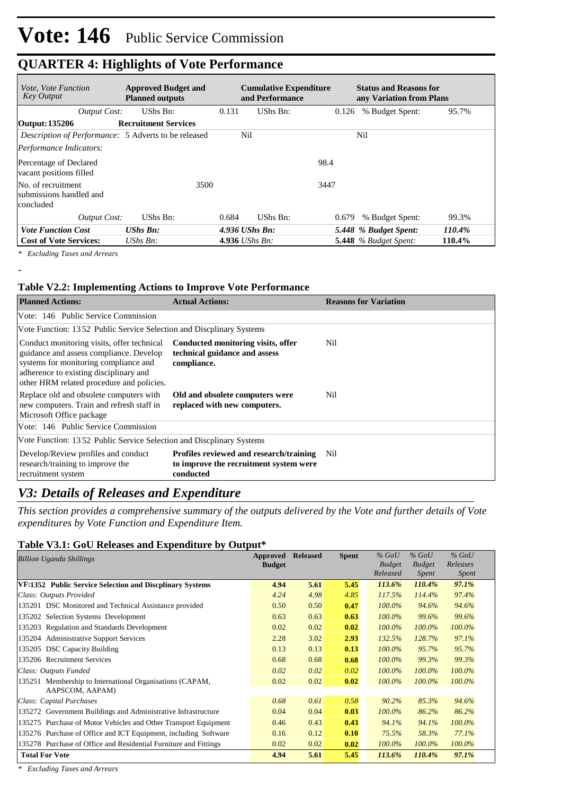| <i>Vote, Vote Function</i><br><b>Key Output</b>             | <b>Approved Budget and</b><br><b>Planned outputs</b> |                        | <b>Cumulative Expenditure</b><br>and Performance | <b>Status and Reasons for</b><br>any Variation from Plans |        |
|-------------------------------------------------------------|------------------------------------------------------|------------------------|--------------------------------------------------|-----------------------------------------------------------|--------|
| <b>Output Cost:</b>                                         | UShs Bn:                                             | 0.131                  | UShs Bn:                                         | % Budget Spent:<br>0.126                                  | 95.7%  |
| Output: 135206                                              | <b>Recruitment Services</b>                          |                        |                                                  |                                                           |        |
| <i>Description of Performance:</i> 5 Adverts to be released |                                                      | Nil                    |                                                  | Nil                                                       |        |
| Performance Indicators:                                     |                                                      |                        |                                                  |                                                           |        |
| Percentage of Declared<br>vacant positions filled           |                                                      |                        |                                                  | 98.4                                                      |        |
| No. of recruitment<br>submissions handled and<br>concluded  | 3500                                                 |                        |                                                  | 3447                                                      |        |
| <b>Output Cost:</b>                                         | UShs Bn:                                             | 0.684                  | UShs Bn:                                         | % Budget Spent:<br>0.679                                  | 99.3%  |
| <b>Vote Function Cost</b>                                   | <b>UShs Bn:</b>                                      | $4.936$ UShs Bn:       |                                                  | 5.448 % Budget Spent:                                     | 110.4% |
| <b>Cost of Vote Services:</b>                               | $UShs Bn$ :                                          | 4.936 <i>UShs Bn</i> : |                                                  | 5.448 $%$ Budget Spent:                                   | 110.4% |

*\* Excluding Taxes and Arrears*

-

### **Table V2.2: Implementing Actions to Improve Vote Performance**

| <b>Planned Actions:</b>                                                                                                                                                                                               | <b>Actual Actions:</b>                                                                         | <b>Reasons for Variation</b> |  |  |  |  |
|-----------------------------------------------------------------------------------------------------------------------------------------------------------------------------------------------------------------------|------------------------------------------------------------------------------------------------|------------------------------|--|--|--|--|
| Vote: 146 Public Service Commission                                                                                                                                                                                   |                                                                                                |                              |  |  |  |  |
| Vote Function: 1352 Public Service Selection and Discplinary Systems                                                                                                                                                  |                                                                                                |                              |  |  |  |  |
| Conduct monitoring visits, offer technical<br>guidance and assess compliance. Develop<br>systems for monitoring compliance and<br>adherence to existing disciplinary and<br>other HRM related procedure and policies. | Conducted monitoring visits, offer<br>technical guidance and assess<br>compliance.             | Nil                          |  |  |  |  |
| Replace old and obsolete computers with<br>new computers. Train and refresh staff in<br>Microsoft Office package                                                                                                      | Old and obsolete computers were<br>replaced with new computers.                                | Nil                          |  |  |  |  |
| Vote: 146 Public Service Commission                                                                                                                                                                                   |                                                                                                |                              |  |  |  |  |
| Vote Function: 1352 Public Service Selection and Discplinary Systems                                                                                                                                                  |                                                                                                |                              |  |  |  |  |
| Develop/Review profiles and conduct<br>research/training to improve the<br>recruitment system                                                                                                                         | Profiles reviewed and research/training<br>to improve the recruitment system were<br>conducted | Nil                          |  |  |  |  |

## *V3: Details of Releases and Expenditure*

*This section provides a comprehensive summary of the outputs delivered by the Vote and further details of Vote expenditures by Vote Function and Expenditure Item.*

### **Table V3.1: GoU Releases and Expenditure by Output\***

| <b>Billion Uganda Shillings</b>                                  | Approved      | <b>Released</b> | <b>Spent</b> | $%$ GoU       | $%$ GoU       | $%$ GoU      |
|------------------------------------------------------------------|---------------|-----------------|--------------|---------------|---------------|--------------|
|                                                                  | <b>Budget</b> |                 |              | <b>Budget</b> | <b>Budget</b> | Releases     |
|                                                                  |               |                 |              | Released      | <i>Spent</i>  | <i>Spent</i> |
| VF:1352 Public Service Selection and Discplinary Systems         | 4.94          | 5.61            | 5.45         | 113.6%        | 110.4%        | 97.1%        |
| Class: Outputs Provided                                          | 4.24          | 4.98            | 4.85         | 117.5%        | 114.4%        | 97.4%        |
| 135201 DSC Monitored and Technical Assistance provided           | 0.50          | 0.50            | 0.47         | $100.0\%$     | 94.6%         | 94.6%        |
| 135202 Selection Systems Development                             | 0.63          | 0.63            | 0.63         | $100.0\%$     | 99.6%         | 99.6%        |
| 135203 Regulation and Standards Development                      | 0.02          | 0.02            | 0.02         | $100.0\%$     | 100.0%        | 100.0%       |
| 135204 Administrative Support Services                           | 2.28          | 3.02            | 2.93         | 132.5%        | 128.7%        | 97.1%        |
| 135205 DSC Capacity Building                                     | 0.13          | 0.13            | 0.13         | $100.0\%$     | 95.7%         | 95.7%        |
| 135206 Recruitment Services                                      | 0.68          | 0.68            | 0.68         | $100.0\%$     | 99.3%         | 99.3%        |
| Class: Outputs Funded                                            | 0.02          | 0.02            | 0.02         | $100.0\%$     | 100.0%        | 100.0%       |
| 135251 Membership to International Organisations (CAPAM,         | 0.02          | 0.02            | 0.02         | $100.0\%$     | 100.0%        | 100.0%       |
| AAPSCOM, AAPAM)                                                  |               |                 |              |               |               |              |
| Class: Capital Purchases                                         | 0.68          | 0.61            | 0.58         | $90.2\%$      | 85.3%         | 94.6%        |
| 135272 Government Buildings and Administrative Infrastructure    | 0.04          | 0.04            | 0.03         | $100.0\%$     | 86.2%         | 86.2%        |
| 135275 Purchase of Motor Vehicles and Other Transport Equipment  | 0.46          | 0.43            | 0.43         | 94.1%         | 94.1%         | 100.0%       |
| 135276 Purchase of Office and ICT Equipment, including Software  | 0.16          | 0.12            | 0.10         | 75.5%         | 58.3%         | 77.1%        |
| 135278 Purchase of Office and Residential Furniture and Fittings | 0.02          | 0.02            | 0.02         | $100.0\%$     | 100.0%        | 100.0%       |
| <b>Total For Vote</b>                                            | 4.94          | 5.61            | 5.45         | 113.6%        | 110.4%        | 97.1%        |

*\* Excluding Taxes and Arrears*